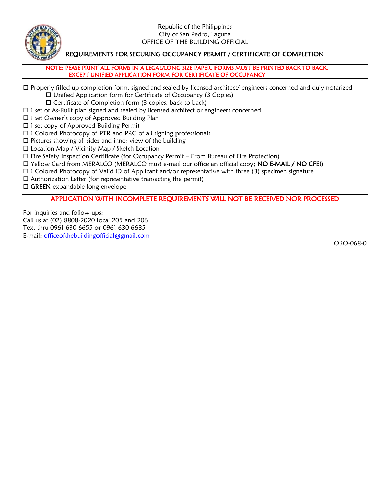

## REQUIREMENTS FOR SECURING OCCUPANCY PERMIT / CERTIFICATE OF COMPLETION

NOTE: PEASE PRINT ALL FORMS IN A LEGAL/LONG SIZE PAPER. FORMS MUST BE PRINTED BACK TO BACK, EXCEPT UNIFIED APPLICATION FORM FOR CERTIFICATE OF OCCUPANCY

Properly filled-up completion form, signed and sealed by licensed architect/ engineers concerned and duly notarized

Unified Application form for Certificate of Occupancy (3 Copies)

 $\square$  Certificate of Completion form (3 copies, back to back)

- $\Box$  1 set of As-Built plan signed and sealed by licensed architect or engineers concerned
- □ 1 set Owner's copy of Approved Building Plan
- □ 1 set copy of Approved Building Permit
- 1 Colored Photocopy of PTR and PRC of all signing professionals
- $\square$  Pictures showing all sides and inner view of the building
- Location Map / Vicinity Map / Sketch Location
- Fire Safety Inspection Certificate (for Occupancy Permit From Bureau of Fire Protection)
- Yellow Card from MERALCO (MERALCO must e-mail our office an official copy; NO E-MAIL / NO CFEI)
- 1 Colored Photocopy of Valid ID of Applicant and/or representative with three (3) specimen signature
- $\square$  Authorization Letter (for representative transacting the permit)
- $\square$  GREEN expandable long envelope

## APPLICATION WITH INCOMPLETE REQUIREMENTS WILL NOT BE RECEIVED NOR PROCESSED

For inquiries and follow-ups: Call us at (02) 8808-2020 local 205 and 206 Text thru 0961 630 6655 or 0961 630 6685 E-mail: [officeofthebuildingofficial@gmail.com](mailto:officeofthebuildingofficial@gmail.com)

OBO-068-0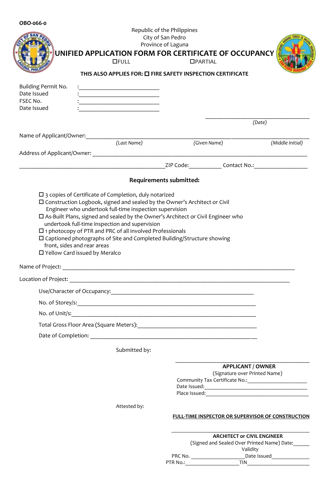|                                                                     |                                                                                                                                                                                                                                                                                                                                                           | Republic of the Philippines<br>City of San Pedro<br>Province of Laguna |                 |                                                                                                                       |
|---------------------------------------------------------------------|-----------------------------------------------------------------------------------------------------------------------------------------------------------------------------------------------------------------------------------------------------------------------------------------------------------------------------------------------------------|------------------------------------------------------------------------|-----------------|-----------------------------------------------------------------------------------------------------------------------|
|                                                                     | UNIFIED APPLICATION FORM FOR CERTIFICATE OF OCCUPANCY<br><b>OFULL</b>                                                                                                                                                                                                                                                                                     |                                                                        | <b>OPARTIAL</b> |                                                                                                                       |
|                                                                     | THIS ALSO APPLIES FOR: O FIRE SAFETY INSPECTION CERTIFICATE                                                                                                                                                                                                                                                                                               |                                                                        |                 |                                                                                                                       |
| Building Permit No.<br>Date Issued<br>FSEC No.<br>Date Issued       | <u> 1980 - Jan Barnett, mars eta bat erroman erroman ez arte eta bat ez erroman ez arte ez arte ez arte ez arte e</u>                                                                                                                                                                                                                                     |                                                                        |                 |                                                                                                                       |
|                                                                     |                                                                                                                                                                                                                                                                                                                                                           |                                                                        |                 | (Date)                                                                                                                |
| Name of Applicant/Owner:                                            | (Last Name)                                                                                                                                                                                                                                                                                                                                               |                                                                        | (Given Name)    | (Middle Initial)                                                                                                      |
|                                                                     |                                                                                                                                                                                                                                                                                                                                                           |                                                                        |                 |                                                                                                                       |
|                                                                     |                                                                                                                                                                                                                                                                                                                                                           |                                                                        |                 |                                                                                                                       |
|                                                                     |                                                                                                                                                                                                                                                                                                                                                           | <b>Requirements submitted:</b>                                         |                 |                                                                                                                       |
| front, sides and rear areas<br>$\Box$ Yellow Card issued by Meralco | Engineer who undertook full-time inspection supervision<br>□ As-Built Plans, signed and sealed by the Owner's Architect or Civil Engineer who<br>undertook full-time inspection and supervision<br>$\square$ 1 photocopy of PTR and PRC of all involved Professionals<br>$\square$ Captioned photographs of Site and Completed Building/Structure showing |                                                                        |                 |                                                                                                                       |
|                                                                     |                                                                                                                                                                                                                                                                                                                                                           |                                                                        |                 |                                                                                                                       |
|                                                                     |                                                                                                                                                                                                                                                                                                                                                           |                                                                        |                 |                                                                                                                       |
|                                                                     |                                                                                                                                                                                                                                                                                                                                                           |                                                                        |                 |                                                                                                                       |
|                                                                     |                                                                                                                                                                                                                                                                                                                                                           |                                                                        |                 |                                                                                                                       |
|                                                                     |                                                                                                                                                                                                                                                                                                                                                           |                                                                        |                 |                                                                                                                       |
|                                                                     |                                                                                                                                                                                                                                                                                                                                                           |                                                                        |                 |                                                                                                                       |
|                                                                     | Submitted by:                                                                                                                                                                                                                                                                                                                                             |                                                                        |                 |                                                                                                                       |
|                                                                     |                                                                                                                                                                                                                                                                                                                                                           |                                                                        |                 | <b>APPLICANT / OWNER</b><br>(Signature over Printed Name)<br>Community Tax Certificate No.: _________________________ |
|                                                                     | Attested by:                                                                                                                                                                                                                                                                                                                                              |                                                                        |                 | FULL-TIME INSPECTOR OR SUPERVISOR OF CONSTRUCTION                                                                     |
|                                                                     |                                                                                                                                                                                                                                                                                                                                                           |                                                                        |                 | <b>ARCHITECT or CIVIL ENGINEER</b><br>(Signed and Sealed Over Printed Name) Date:<br>Validity<br>PTR No.: TIN TIN     |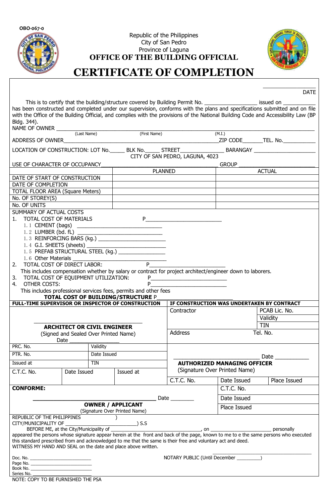

Republic of the Philippines City of San Pedro Province of Laguna **OFFICE OF THE BUILDING OFFICIAL**



**\_\_\_\_\_\_\_\_\_\_\_\_\_\_**

## **CERTIFICATE OF COMPLETION**

|                                                                                                              |                                       |             |                                                                                                               |                                 |                                    |                                          | <b>DATE</b><br>has been constructed and completed under our supervision, conforms with the plans and specifications submitted and on file |
|--------------------------------------------------------------------------------------------------------------|---------------------------------------|-------------|---------------------------------------------------------------------------------------------------------------|---------------------------------|------------------------------------|------------------------------------------|-------------------------------------------------------------------------------------------------------------------------------------------|
| Bldg. 344).                                                                                                  |                                       |             |                                                                                                               |                                 |                                    |                                          | with the Office of the Building Official, and complies with the provisions of the National Building Code and Accessibility Law (BP        |
| NAME OF OWNER (Last Name) (First Name)                                                                       |                                       |             |                                                                                                               |                                 |                                    |                                          |                                                                                                                                           |
|                                                                                                              |                                       |             | (First Name)                                                                                                  |                                 |                                    | (M.I.)                                   |                                                                                                                                           |
|                                                                                                              |                                       |             |                                                                                                               |                                 |                                    |                                          | LOCATION OF CONSTRUCTION: LOT No. ______ BLK No. ______ STREET__________________BARANGAY ____________________                             |
|                                                                                                              |                                       |             |                                                                                                               | CITY OF SAN PEDRO, LAGUNA, 4023 |                                    |                                          |                                                                                                                                           |
| USE OF CHARACTER OF OCCUPANCY                                                                                |                                       |             |                                                                                                               |                                 |                                    | <b>GROUP</b>                             |                                                                                                                                           |
|                                                                                                              |                                       |             |                                                                                                               | PLANNED                         |                                    |                                          | <b>ACTUAL</b>                                                                                                                             |
| DATE OF START OF CONSTRUCTION                                                                                |                                       |             |                                                                                                               |                                 |                                    |                                          |                                                                                                                                           |
| DATE OF COMPLETION                                                                                           |                                       |             |                                                                                                               |                                 |                                    |                                          |                                                                                                                                           |
| <b>TOTAL FLOOR AREA (Square Meters)</b>                                                                      |                                       |             |                                                                                                               |                                 |                                    |                                          |                                                                                                                                           |
| No. OF STOREY(S)                                                                                             |                                       |             |                                                                                                               |                                 |                                    |                                          |                                                                                                                                           |
| No. OF UNITS                                                                                                 |                                       |             |                                                                                                               |                                 |                                    |                                          |                                                                                                                                           |
| SUMMARY OF ACTUAL COSTS<br>1. TOTAL COST OF MATERIALS                                                        |                                       |             |                                                                                                               |                                 |                                    |                                          |                                                                                                                                           |
|                                                                                                              |                                       |             |                                                                                                               |                                 |                                    |                                          |                                                                                                                                           |
|                                                                                                              |                                       |             |                                                                                                               |                                 |                                    |                                          |                                                                                                                                           |
|                                                                                                              |                                       |             |                                                                                                               |                                 |                                    |                                          |                                                                                                                                           |
|                                                                                                              |                                       |             |                                                                                                               |                                 |                                    |                                          |                                                                                                                                           |
|                                                                                                              |                                       |             | 1.5 PREFAB STRUCTURAL STEEL (kg.) _________________                                                           |                                 |                                    |                                          |                                                                                                                                           |
|                                                                                                              |                                       |             |                                                                                                               |                                 |                                    |                                          |                                                                                                                                           |
| 2. TOTAL COST OF DIRECT LABOR:                                                                               |                                       |             | P                                                                                                             |                                 |                                    |                                          |                                                                                                                                           |
|                                                                                                              |                                       |             | This includes compensation whether by salary or contract for project architect/engineer down to laborers.     |                                 |                                    |                                          |                                                                                                                                           |
| 3. TOTAL COST OF EQUIPMENT UTILIZATION:                                                                      |                                       |             |                                                                                                               |                                 |                                    |                                          |                                                                                                                                           |
| 4. OTHER COSTS:                                                                                              |                                       |             | P                                                                                                             |                                 |                                    |                                          |                                                                                                                                           |
|                                                                                                              |                                       |             | This includes professional services fees, permits and other fees<br><b>TOTAL COST OF BUILDING/STRUCTURE P</b> |                                 |                                    |                                          |                                                                                                                                           |
| FULL-TIME SUPERVISOR OR INSPECTOR OF CONSTRUCTION                                                            |                                       |             |                                                                                                               |                                 |                                    |                                          | IF CONSTRUCTION WAS UNDERTAKEN BY CONTRACT                                                                                                |
|                                                                                                              |                                       |             |                                                                                                               | Contractor                      |                                    |                                          | PCAB Lic. No.                                                                                                                             |
|                                                                                                              |                                       |             |                                                                                                               |                                 |                                    |                                          | Validity                                                                                                                                  |
|                                                                                                              | <b>ARCHITECT OR CIVIL ENGINEER</b>    |             |                                                                                                               |                                 |                                    | <b>TIN</b>                               |                                                                                                                                           |
|                                                                                                              | (Signed and Sealed Over Printed Name) |             |                                                                                                               | Address                         |                                    |                                          | Tel. No.                                                                                                                                  |
| Date                                                                                                         |                                       |             |                                                                                                               |                                 |                                    |                                          |                                                                                                                                           |
| PRC. No.                                                                                                     |                                       | Validity    |                                                                                                               |                                 |                                    |                                          |                                                                                                                                           |
| PTR. No.                                                                                                     |                                       | Date Issued |                                                                                                               |                                 |                                    |                                          |                                                                                                                                           |
| Issued at                                                                                                    |                                       | <b>TIN</b>  |                                                                                                               |                                 | <b>AUTHORIZED MANAGING OFFICER</b> |                                          | Date and the state of the state of the state of the state of the state of the state of the state of the state o                           |
|                                                                                                              |                                       |             |                                                                                                               |                                 |                                    | (Signature Over Printed Name)            |                                                                                                                                           |
| C.T.C. No.                                                                                                   | Date Issued                           |             | Issued at                                                                                                     |                                 |                                    |                                          |                                                                                                                                           |
|                                                                                                              |                                       |             |                                                                                                               | C.T.C. No.                      |                                    | Date Issued                              | Place Issued                                                                                                                              |
| <b>CONFORME:</b>                                                                                             |                                       |             |                                                                                                               |                                 |                                    | C.T.C. No.                               |                                                                                                                                           |
|                                                                                                              |                                       |             |                                                                                                               | Date $\_\_$                     |                                    | Date Issued                              |                                                                                                                                           |
|                                                                                                              |                                       |             | <b>OWNER / APPLICANT</b>                                                                                      |                                 |                                    | Place Issued                             |                                                                                                                                           |
| (Signature Over Printed Name)                                                                                |                                       |             |                                                                                                               |                                 |                                    |                                          |                                                                                                                                           |
| REPUBLIC OF THE PHILIPPINES                                                                                  |                                       |             |                                                                                                               |                                 |                                    |                                          |                                                                                                                                           |
|                                                                                                              |                                       |             |                                                                                                               |                                 |                                    |                                          |                                                                                                                                           |
|                                                                                                              |                                       |             |                                                                                                               |                                 |                                    |                                          |                                                                                                                                           |
| this standard prescribed from and acknowledged to me that the same is their free and voluntary act and deed. |                                       |             |                                                                                                               |                                 |                                    |                                          |                                                                                                                                           |
| WITNESS MY HAND AND SEAL on the date and place above written.                                                |                                       |             |                                                                                                               |                                 |                                    |                                          |                                                                                                                                           |
|                                                                                                              |                                       |             |                                                                                                               |                                 |                                    | NOTARY PUBLIC (Until December _________) |                                                                                                                                           |
|                                                                                                              |                                       |             |                                                                                                               |                                 |                                    |                                          |                                                                                                                                           |
|                                                                                                              |                                       |             |                                                                                                               |                                 |                                    |                                          |                                                                                                                                           |
| Series No.<br>NOTE: COPY TO BE FURNISHED THE PSA                                                             |                                       |             |                                                                                                               |                                 |                                    |                                          |                                                                                                                                           |
|                                                                                                              |                                       |             |                                                                                                               |                                 |                                    |                                          |                                                                                                                                           |